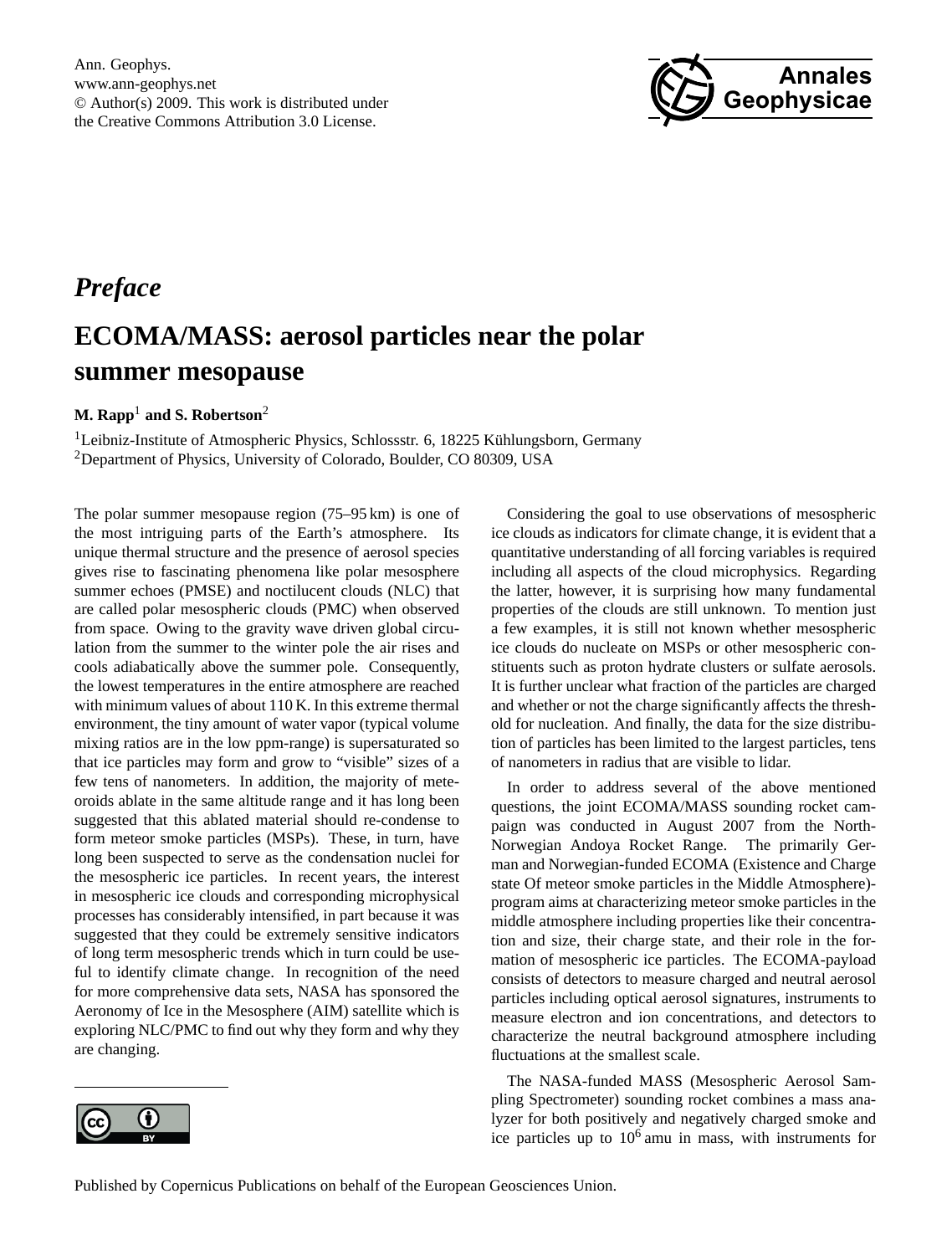

## *Preface* **ECOMA/MASS: aerosol particles near the polar summer mesopause**

## **M. Rapp**<sup>1</sup> **and S. Robertson**<sup>2</sup>

<sup>1</sup>Leibniz-Institute of Atmospheric Physics, Schlossstr. 6, 18225 Kühlungsborn, Germany <sup>2</sup>Department of Physics, University of Colorado, Boulder, CO 80309, USA

The polar summer mesopause region (75–95 km) is one of the most intriguing parts of the Earth's atmosphere. Its unique thermal structure and the presence of aerosol species gives rise to fascinating phenomena like polar mesosphere summer echoes (PMSE) and noctilucent clouds (NLC) that are called polar mesospheric clouds (PMC) when observed from space. Owing to the gravity wave driven global circulation from the summer to the winter pole the air rises and cools adiabatically above the summer pole. Consequently, the lowest temperatures in the entire atmosphere are reached with minimum values of about 110 K. In this extreme thermal environment, the tiny amount of water vapor (typical volume mixing ratios are in the low ppm-range) is supersaturated so that ice particles may form and grow to "visible" sizes of a few tens of nanometers. In addition, the majority of meteoroids ablate in the same altitude range and it has long been suggested that this ablated material should re-condense to form meteor smoke particles (MSPs). These, in turn, have long been suspected to serve as the condensation nuclei for the mesospheric ice particles. In recent years, the interest in mesospheric ice clouds and corresponding microphysical processes has considerably intensified, in part because it was suggested that they could be extremely sensitive indicators of long term mesospheric trends which in turn could be useful to identify climate change. In recognition of the need for more comprehensive data sets, NASA has sponsored the Aeronomy of Ice in the Mesosphere (AIM) satellite which is exploring NLC/PMC to find out why they form and why they are changing.



Considering the goal to use observations of mesospheric ice clouds as indicators for climate change, it is evident that a quantitative understanding of all forcing variables is required including all aspects of the cloud microphysics. Regarding the latter, however, it is surprising how many fundamental properties of the clouds are still unknown. To mention just a few examples, it is still not known whether mesospheric ice clouds do nucleate on MSPs or other mesospheric constituents such as proton hydrate clusters or sulfate aerosols. It is further unclear what fraction of the particles are charged and whether or not the charge significantly affects the threshold for nucleation. And finally, the data for the size distribution of particles has been limited to the largest particles, tens of nanometers in radius that are visible to lidar.

In order to address several of the above mentioned questions, the joint ECOMA/MASS sounding rocket campaign was conducted in August 2007 from the North-Norwegian Andoya Rocket Range. The primarily German and Norwegian-funded ECOMA (Existence and Charge state Of meteor smoke particles in the Middle Atmosphere) program aims at characterizing meteor smoke particles in the middle atmosphere including properties like their concentration and size, their charge state, and their role in the formation of mesospheric ice particles. The ECOMA-payload consists of detectors to measure charged and neutral aerosol particles including optical aerosol signatures, instruments to measure electron and ion concentrations, and detectors to characterize the neutral background atmosphere including fluctuations at the smallest scale.

The NASA-funded MASS (Mesospheric Aerosol Sampling Spectrometer) sounding rocket combines a mass analyzer for both positively and negatively charged smoke and ice particles up to  $10^6$  amu in mass, with instruments for